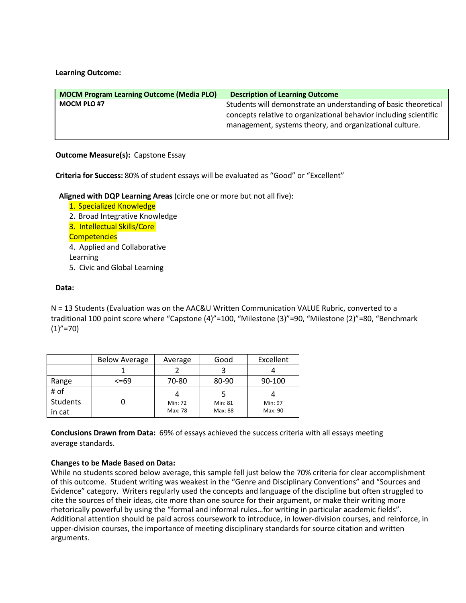### **Learning Outcome:**

| <b>MOCM Program Learning Outcome (Media PLO)</b> | <b>Description of Learning Outcome</b>                                                                                       |
|--------------------------------------------------|------------------------------------------------------------------------------------------------------------------------------|
| <b>MOCM PLO#7</b>                                | Students will demonstrate an understanding of basic theoretical                                                              |
|                                                  | concepts relative to organizational behavior including scientific<br>management, systems theory, and organizational culture. |

# **Outcome Measure(s):** Capstone Essay

**Criteria for Success:** 80% of student essays will be evaluated as "Good" or "Excellent"

**Aligned with DQP Learning Areas** (circle one or more but not all five):

- 1. Specialized Knowledge
- 2. Broad Integrative Knowledge
- 3. Intellectual Skills/Core
- **Competencies**
- 4. Applied and Collaborative

Learning

5. Civic and Global Learning

### **Data:**

N = 13 Students (Evaluation was on the AAC&U Written Communication VALUE Rubric, converted to a traditional 100 point score where "Capstone (4)"=100, "Milestone (3)"=90, "Milestone (2)"=80, "Benchmark  $(1)''=70$ 

|          | <b>Below Average</b> | Average | Good    | Excellent |
|----------|----------------------|---------|---------|-----------|
|          |                      |         |         |           |
| Range    | $<=69$               | 70-80   | 80-90   | 90-100    |
| # of     |                      |         |         |           |
| Students |                      | Min: 72 | Min: 81 | Min: 97   |
| in cat   |                      | Max: 78 | Max: 88 | Max: 90   |

**Conclusions Drawn from Data:** 69% of essays achieved the success criteria with all essays meeting average standards.

# **Changes to be Made Based on Data:**

While no students scored below average, this sample fell just below the 70% criteria for clear accomplishment of this outcome. Student writing was weakest in the "Genre and Disciplinary Conventions" and "Sources and Evidence" category. Writers regularly used the concepts and language of the discipline but often struggled to cite the sources of their ideas, cite more than one source for their argument, or make their writing more rhetorically powerful by using the "formal and informal rules…for writing in particular academic fields". Additional attention should be paid across coursework to introduce, in lower-division courses, and reinforce, in upper-division courses, the importance of meeting disciplinary standards for source citation and written arguments.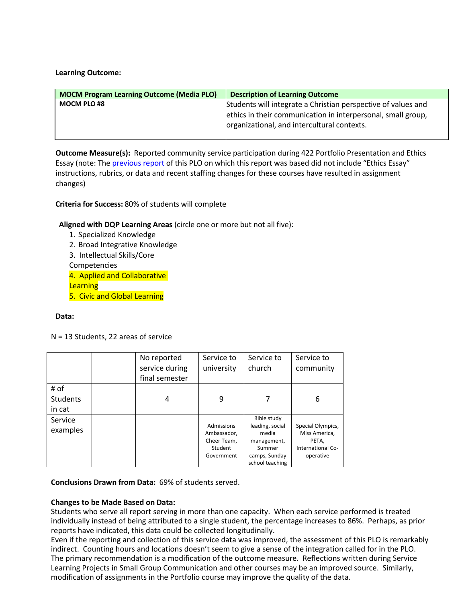### **Learning Outcome:**

| <b>MOCM Program Learning Outcome (Media PLO)</b> | <b>Description of Learning Outcome</b>                        |
|--------------------------------------------------|---------------------------------------------------------------|
| <b>MOCM PLO#8</b>                                | Students will integrate a Christian perspective of values and |
|                                                  | ethics in their communication in interpersonal, small group,  |
|                                                  | organizational, and intercultural contexts.                   |
|                                                  |                                                               |

**Outcome Measure(s):** Reported community service participation during 422 Portfolio Presentation and Ethics Essay (note: Th[e previous report](http://assessment.pointloma.edu/wp-content/uploads/2014/05/CMT_Evidence_2014-2015_MOCM_Summary-of-Data.pdf) of this PLO on which this report was based did not include "Ethics Essay" instructions, rubrics, or data and recent staffing changes for these courses have resulted in assignment changes)

**Criteria for Success:** 80% of students will complete

**Aligned with DQP Learning Areas** (circle one or more but not all five):

- 1. Specialized Knowledge
- 2. Broad Integrative Knowledge
- 3. Intellectual Skills/Core

Competencies

4. Applied and Collaborative

**Learning** 

5. Civic and Global Learning

# **Data:**

N = 13 Students, 22 areas of service

|                                   | No reported<br>service during<br>final semester | Service to<br>university                                          | Service to<br>church                                                                                 | Service to<br>community                                                       |
|-----------------------------------|-------------------------------------------------|-------------------------------------------------------------------|------------------------------------------------------------------------------------------------------|-------------------------------------------------------------------------------|
| # of<br><b>Students</b><br>in cat | 4                                               | 9                                                                 | 7                                                                                                    | 6                                                                             |
| Service<br>examples               |                                                 | Admissions<br>Ambassador,<br>Cheer Team,<br>Student<br>Government | Bible study<br>leading, social<br>media<br>management,<br>Summer<br>camps, Sunday<br>school teaching | Special Olympics,<br>Miss America.<br>PETA,<br>International Co-<br>operative |

# **Conclusions Drawn from Data:** 69% of students served.

# **Changes to be Made Based on Data:**

Students who serve all report serving in more than one capacity. When each service performed is treated individually instead of being attributed to a single student, the percentage increases to 86%. Perhaps, as prior reports have indicated, this data could be collected longitudinally.

Even if the reporting and collection of this service data was improved, the assessment of this PLO is remarkably indirect. Counting hours and locations doesn't seem to give a sense of the integration called for in the PLO. The primary recommendation is a modification of the outcome measure. Reflections written during Service Learning Projects in Small Group Communication and other courses may be an improved source. Similarly, modification of assignments in the Portfolio course may improve the quality of the data.